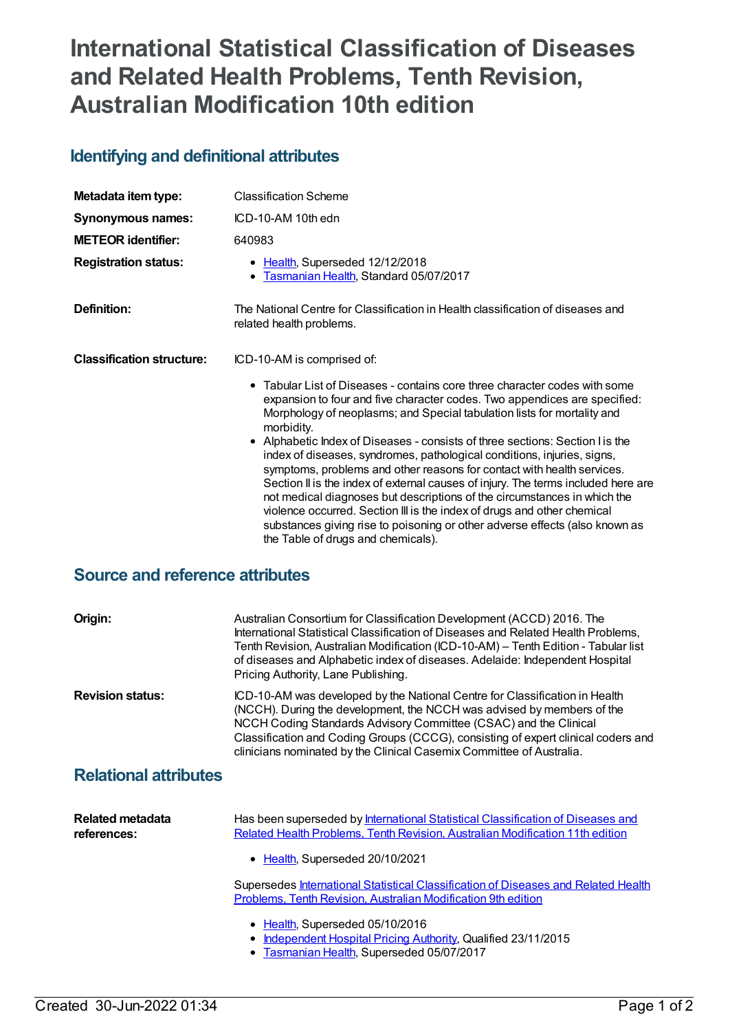# **International Statistical Classification of Diseases and Related Health Problems, Tenth Revision, Australian Modification 10th edition**

### **Identifying and definitional attributes**

| Metadata item type:              | <b>Classification Scheme</b>                                                                                                                                                                                                                                                                                                                                                                                                                                                                                                                                                                                                                                                                                                                                                                                                                                    |
|----------------------------------|-----------------------------------------------------------------------------------------------------------------------------------------------------------------------------------------------------------------------------------------------------------------------------------------------------------------------------------------------------------------------------------------------------------------------------------------------------------------------------------------------------------------------------------------------------------------------------------------------------------------------------------------------------------------------------------------------------------------------------------------------------------------------------------------------------------------------------------------------------------------|
| <b>Synonymous names:</b>         | ICD-10-AM 10th edn                                                                                                                                                                                                                                                                                                                                                                                                                                                                                                                                                                                                                                                                                                                                                                                                                                              |
| <b>METEOR</b> identifier:        | 640983                                                                                                                                                                                                                                                                                                                                                                                                                                                                                                                                                                                                                                                                                                                                                                                                                                                          |
| <b>Registration status:</b>      | • Health, Superseded 12/12/2018<br>• Tasmanian Health, Standard 05/07/2017                                                                                                                                                                                                                                                                                                                                                                                                                                                                                                                                                                                                                                                                                                                                                                                      |
| Definition:                      | The National Centre for Classification in Health classification of diseases and<br>related health problems.                                                                                                                                                                                                                                                                                                                                                                                                                                                                                                                                                                                                                                                                                                                                                     |
| <b>Classification structure:</b> | ICD-10-AM is comprised of:                                                                                                                                                                                                                                                                                                                                                                                                                                                                                                                                                                                                                                                                                                                                                                                                                                      |
|                                  | $\bullet$ Tabular List of Diseases - contains core three character codes with some<br>expansion to four and five character codes. Two appendices are specified:<br>Morphology of neoplasms; and Special tabulation lists for mortality and<br>morbidity.<br>• Alphabetic Index of Diseases - consists of three sections: Section I is the<br>index of diseases, syndromes, pathological conditions, injuries, signs,<br>symptoms, problems and other reasons for contact with health services.<br>Section II is the index of external causes of injury. The terms included here are<br>not medical diagnoses but descriptions of the circumstances in which the<br>violence occurred. Section III is the index of drugs and other chemical<br>substances giving rise to poisoning or other adverse effects (also known as<br>the Table of drugs and chemicals). |

## **Source and reference attributes**

| Origin:                         | Australian Consortium for Classification Development (ACCD) 2016. The<br>International Statistical Classification of Diseases and Related Health Problems,<br>Tenth Revision, Australian Modification (ICD-10-AM) - Tenth Edition - Tabular list<br>of diseases and Alphabetic index of diseases. Adelaide: Independent Hospital<br>Pricing Authority, Lane Publishing.                |
|---------------------------------|----------------------------------------------------------------------------------------------------------------------------------------------------------------------------------------------------------------------------------------------------------------------------------------------------------------------------------------------------------------------------------------|
| <b>Revision status:</b>         | ICD-10-AM was developed by the National Centre for Classification in Health<br>(NCCH). During the development, the NCCH was advised by members of the<br>NCCH Coding Standards Advisory Committee (CSAC) and the Clinical<br>Classification and Coding Groups (CCCG), consisting of expert clinical coders and<br>clinicians nominated by the Clinical Casemix Committee of Australia. |
| <b>Relational attributes</b>    |                                                                                                                                                                                                                                                                                                                                                                                        |
| Related metadata<br>references: | Has been superseded by International Statistical Classification of Diseases and<br>Related Health Problems, Tenth Revision, Australian Modification 11th edition<br>Health, Superseded 20/10/2021                                                                                                                                                                                      |
|                                 | Supersedes International Statistical Classification of Diseases and Related Health<br>Problems, Tenth Revision, Australian Modification 9th edition                                                                                                                                                                                                                                    |
|                                 | • Health, Superseded 05/10/2016<br>Independent Hospital Pricing Authority, Qualified 23/11/2015<br>• Tasmanian Health, Superseded 05/07/2017                                                                                                                                                                                                                                           |